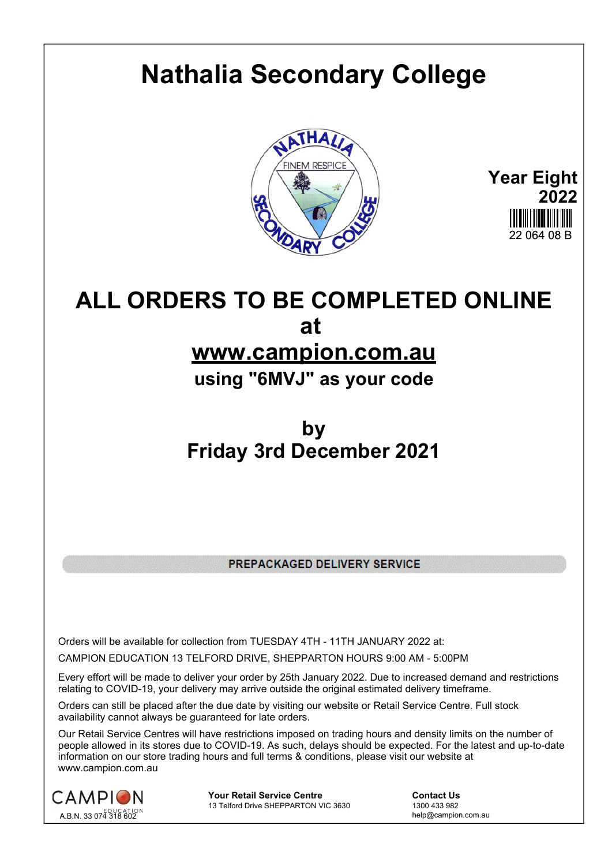## **Nathalia Secondary College**



**Year Eight 2022** 22 064 08 B

## **ALL ORDERS TO BE COMPLETED ONLINE at**

## **www.campion.com.au**

**using "6MVJ" as your code**

## **by Friday 3rd December 2021**

PREPACKAGED DELIVERY SERVICE

Orders will be available for collection from TUESDAY 4TH - 11TH JANUARY 2022 at:

CAMPION EDUCATION 13 TELFORD DRIVE, SHEPPARTON HOURS 9:00 AM - 5:00PM

Every effort will be made to deliver your order by 25th January 2022. Due to increased demand and restrictions relating to COVID-19, your delivery may arrive outside the original estimated delivery timeframe.

Orders can still be placed after the due date by visiting our website or Retail Service Centre. Full stock availability cannot always be guaranteed for late orders.

Our Retail Service Centres will have restrictions imposed on trading hours and density limits on the number of people allowed in its stores due to COVID-19. As such, delays should be expected. For the latest and up-to-date information on our store trading hours and full terms & conditions, please visit our website at www.campion.com.au



**Your Retail Service Centre Contact Us**13 Telford Drive SHEPPARTON VIC 3630

1300 433 982 13 Telford Drive SHEPPARTON VIC 3630

help@campion.com.au